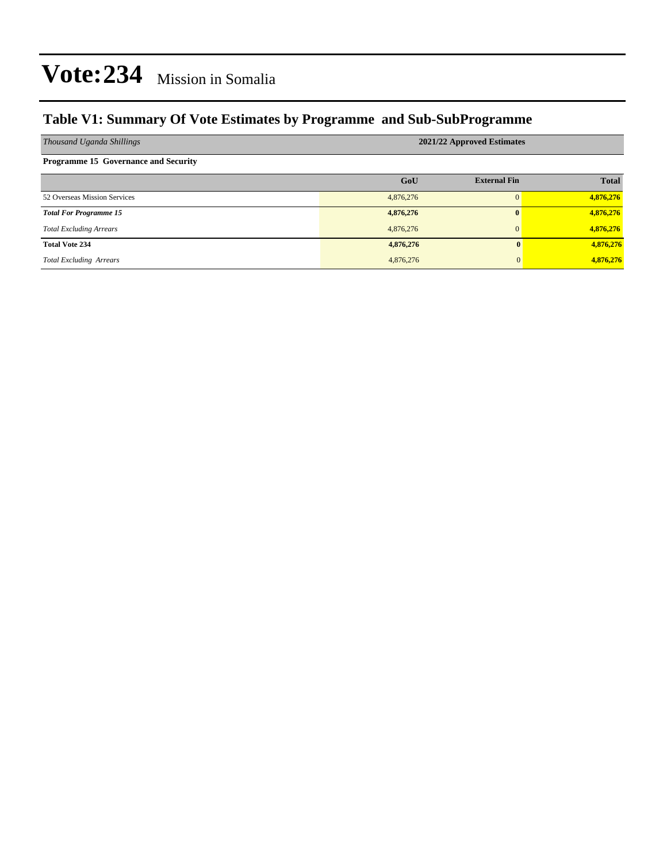### **Table V1: Summary Of Vote Estimates by Programme and Sub-SubProgramme**

| Thousand Uganda Shillings                   | 2021/22 Approved Estimates |                     |              |  |  |  |  |
|---------------------------------------------|----------------------------|---------------------|--------------|--|--|--|--|
| <b>Programme 15 Governance and Security</b> |                            |                     |              |  |  |  |  |
|                                             | GoU                        | <b>External Fin</b> | <b>Total</b> |  |  |  |  |
| 52 Overseas Mission Services                | 4,876,276                  |                     | 4,876,276    |  |  |  |  |
| <b>Total For Programme 15</b>               | 4,876,276                  | 0                   | 4,876,276    |  |  |  |  |
| <b>Total Excluding Arrears</b>              | 4,876,276                  |                     | 4,876,276    |  |  |  |  |
| <b>Total Vote 234</b>                       | 4,876,276                  | 0                   | 4,876,276    |  |  |  |  |
| <b>Total Excluding Arrears</b>              | 4,876,276                  | $\overline{0}$      | 4,876,276    |  |  |  |  |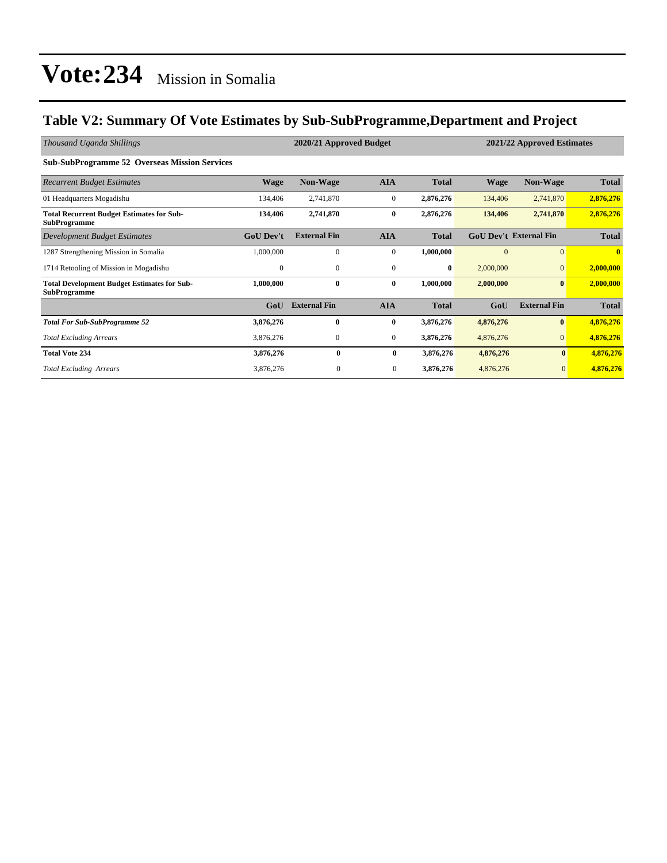### **Table V2: Summary Of Vote Estimates by Sub-SubProgramme,Department and Project**

| Thousand Uganda Shillings                                                 | 2020/21 Approved Budget<br>2021/22 Approved Estimates |                     |                  |              |             |                               |              |
|---------------------------------------------------------------------------|-------------------------------------------------------|---------------------|------------------|--------------|-------------|-------------------------------|--------------|
| <b>Sub-SubProgramme 52 Overseas Mission Services</b>                      |                                                       |                     |                  |              |             |                               |              |
| <b>Recurrent Budget Estimates</b>                                         | Wage                                                  | <b>Non-Wage</b>     | <b>AIA</b>       | <b>Total</b> | <b>Wage</b> | <b>Non-Wage</b>               | <b>Total</b> |
| 01 Headquarters Mogadishu                                                 | 134,406                                               | 2,741,870           | $\boldsymbol{0}$ | 2,876,276    | 134,406     | 2,741,870                     | 2,876,276    |
| <b>Total Recurrent Budget Estimates for Sub-</b><br><b>SubProgramme</b>   | 134,406                                               | 2,741,870           | $\bf{0}$         | 2,876,276    | 134,406     | 2,741,870                     | 2,876,276    |
| <b>Development Budget Estimates</b>                                       | <b>GoU Dev't</b>                                      | <b>External Fin</b> | <b>AIA</b>       | <b>Total</b> |             | <b>GoU Dev't External Fin</b> | <b>Total</b> |
| 1287 Strengthening Mission in Somalia                                     | 1,000,000                                             | $\mathbf{0}$        | $\mathbf{0}$     | 1,000,000    | $\Omega$    | $\overline{0}$                | $\mathbf{0}$ |
| 1714 Retooling of Mission in Mogadishu                                    | $\overline{0}$                                        | $\mathbf{0}$        | $\mathbf{0}$     | $\bf{0}$     | 2,000,000   | $\mathbf{0}$                  | 2,000,000    |
| <b>Total Development Budget Estimates for Sub-</b><br><b>SubProgramme</b> | 1,000,000                                             | $\bf{0}$            | $\bf{0}$         | 1,000,000    | 2,000,000   | $\bf{0}$                      | 2,000,000    |
|                                                                           | GoU                                                   | <b>External Fin</b> | <b>AIA</b>       | <b>Total</b> | GoU         | <b>External Fin</b>           | <b>Total</b> |
| <b>Total For Sub-SubProgramme 52</b>                                      | 3,876,276                                             | $\bf{0}$            | $\bf{0}$         | 3,876,276    | 4,876,276   | $\bf{0}$                      | 4,876,276    |
| <b>Total Excluding Arrears</b>                                            | 3,876,276                                             | $\mathbf{0}$        | $\mathbf{0}$     | 3,876,276    | 4,876,276   | $\overline{0}$                | 4,876,276    |
| <b>Total Vote 234</b>                                                     | 3,876,276                                             | $\bf{0}$            | $\bf{0}$         | 3,876,276    | 4,876,276   | $\bf{0}$                      | 4,876,276    |
| <b>Total Excluding Arrears</b>                                            | 3,876,276                                             | $\mathbf{0}$        | $\overline{0}$   | 3,876,276    | 4,876,276   | $\overline{0}$                | 4,876,276    |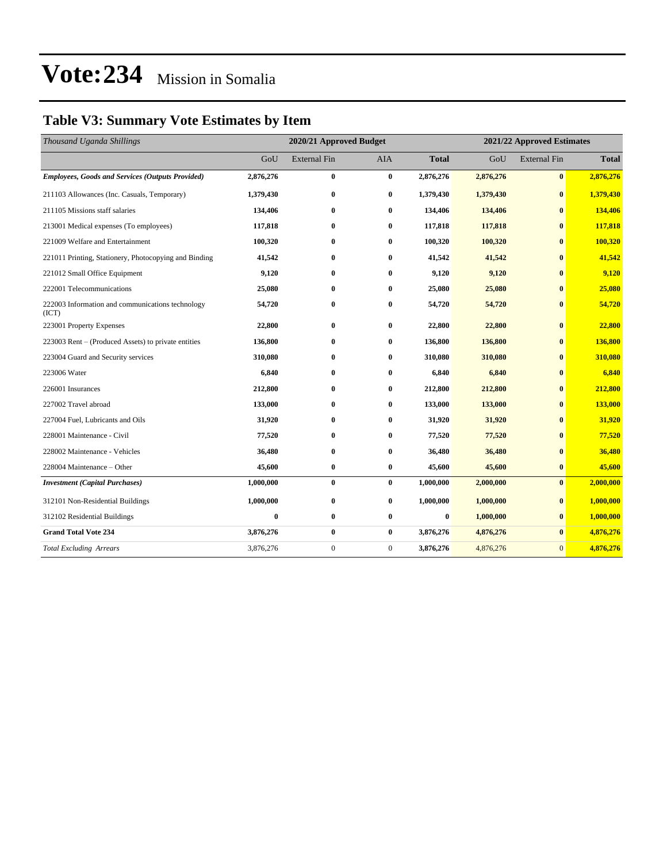### **Table V3: Summary Vote Estimates by Item**

| Thousand Uganda Shillings                                 | 2020/21 Approved Budget |                     |              |              | 2021/22 Approved Estimates |                     |              |  |
|-----------------------------------------------------------|-------------------------|---------------------|--------------|--------------|----------------------------|---------------------|--------------|--|
|                                                           | GoU                     | <b>External Fin</b> | <b>AIA</b>   | <b>Total</b> | GoU                        | <b>External Fin</b> | <b>Total</b> |  |
| <b>Employees, Goods and Services (Outputs Provided)</b>   | 2,876,276               | $\bf{0}$            | $\bf{0}$     | 2,876,276    | 2,876,276                  | $\bf{0}$            | 2,876,276    |  |
| 211103 Allowances (Inc. Casuals, Temporary)               | 1,379,430               | $\bf{0}$            | $\bf{0}$     | 1,379,430    | 1,379,430                  | $\bf{0}$            | 1,379,430    |  |
| 211105 Missions staff salaries                            | 134,406                 | $\bf{0}$            | $\bf{0}$     | 134,406      | 134,406                    | $\bf{0}$            | 134,406      |  |
| 213001 Medical expenses (To employees)                    | 117,818                 | $\bf{0}$            | 0            | 117,818      | 117,818                    | $\bf{0}$            | 117,818      |  |
| 221009 Welfare and Entertainment                          | 100,320                 | $\bf{0}$            | $\bf{0}$     | 100,320      | 100,320                    | $\bf{0}$            | 100,320      |  |
| 221011 Printing, Stationery, Photocopying and Binding     | 41,542                  | $\bf{0}$            | $\bf{0}$     | 41,542       | 41,542                     | $\bf{0}$            | 41,542       |  |
| 221012 Small Office Equipment                             | 9,120                   | $\bf{0}$            | $\bf{0}$     | 9,120        | 9,120                      | $\mathbf{0}$        | 9,120        |  |
| 222001 Telecommunications                                 | 25,080                  | $\bf{0}$            | $\bf{0}$     | 25,080       | 25,080                     | $\mathbf{0}$        | 25,080       |  |
| 222003 Information and communications technology<br>(ICT) | 54,720                  | $\bf{0}$            | $\bf{0}$     | 54,720       | 54,720                     | $\bf{0}$            | 54,720       |  |
| 223001 Property Expenses                                  | 22,800                  | $\bf{0}$            | $\bf{0}$     | 22,800       | 22,800                     | $\bf{0}$            | 22,800       |  |
| 223003 Rent – (Produced Assets) to private entities       | 136,800                 | $\bf{0}$            | $\bf{0}$     | 136,800      | 136,800                    | $\bf{0}$            | 136,800      |  |
| 223004 Guard and Security services                        | 310,080                 | $\bf{0}$            | 0            | 310,080      | 310,080                    | $\bf{0}$            | 310,080      |  |
| 223006 Water                                              | 6,840                   | $\bf{0}$            | $\bf{0}$     | 6,840        | 6,840                      | $\bf{0}$            | 6,840        |  |
| 226001 Insurances                                         | 212,800                 | $\bf{0}$            | 0            | 212,800      | 212,800                    | $\bf{0}$            | 212,800      |  |
| 227002 Travel abroad                                      | 133,000                 | $\bf{0}$            | $\bf{0}$     | 133,000      | 133,000                    | $\bf{0}$            | 133,000      |  |
| 227004 Fuel. Lubricants and Oils                          | 31,920                  | $\bf{0}$            | $\bf{0}$     | 31,920       | 31,920                     | $\bf{0}$            | 31,920       |  |
| 228001 Maintenance - Civil                                | 77,520                  | $\bf{0}$            | $\bf{0}$     | 77,520       | 77,520                     | $\mathbf{0}$        | 77,520       |  |
| 228002 Maintenance - Vehicles                             | 36,480                  | $\bf{0}$            | $\bf{0}$     | 36,480       | 36,480                     | $\mathbf{0}$        | 36,480       |  |
| 228004 Maintenance - Other                                | 45,600                  | $\bf{0}$            | $\bf{0}$     | 45,600       | 45,600                     | $\bf{0}$            | 45,600       |  |
| <b>Investment</b> (Capital Purchases)                     | 1,000,000               | $\bf{0}$            | $\bf{0}$     | 1,000,000    | 2,000,000                  | $\bf{0}$            | 2,000,000    |  |
| 312101 Non-Residential Buildings                          | 1,000,000               | $\bf{0}$            | $\bf{0}$     | 1,000,000    | 1,000,000                  | $\bf{0}$            | 1,000,000    |  |
| 312102 Residential Buildings                              | $\bf{0}$                | $\bf{0}$            | $\bf{0}$     | $\bf{0}$     | 1,000,000                  | $\bf{0}$            | 1,000,000    |  |
| <b>Grand Total Vote 234</b>                               | 3,876,276               | $\bf{0}$            | $\bf{0}$     | 3,876,276    | 4,876,276                  | $\bf{0}$            | 4,876,276    |  |
| <b>Total Excluding Arrears</b>                            | 3,876,276               | $\mathbf{0}$        | $\mathbf{0}$ | 3,876,276    | 4,876,276                  | $\mathbf{0}$        | 4,876,276    |  |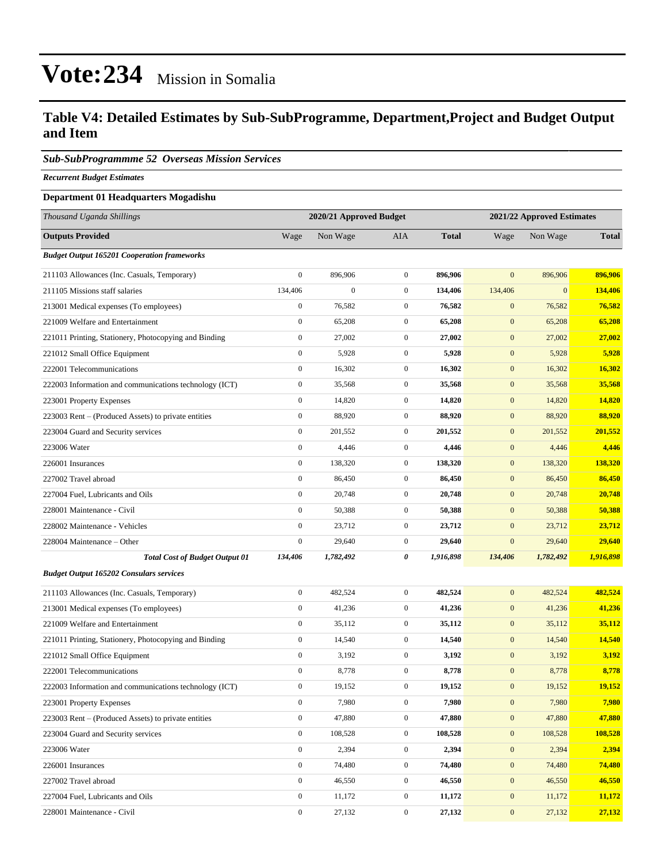#### **Table V4: Detailed Estimates by Sub-SubProgramme, Department,Project and Budget Output and Item**

#### *Sub-SubProgrammme 52 Overseas Mission Services*

*Recurrent Budget Estimates*

#### **Department 01 Headquarters Mogadishu**

| Thousand Uganda Shillings                              | 2020/21 Approved Budget |                  |                  |              | 2021/22 Approved Estimates |              |              |  |
|--------------------------------------------------------|-------------------------|------------------|------------------|--------------|----------------------------|--------------|--------------|--|
| <b>Outputs Provided</b>                                | Wage                    | Non Wage         | AIA              | <b>Total</b> | Wage                       | Non Wage     | <b>Total</b> |  |
| <b>Budget Output 165201 Cooperation frameworks</b>     |                         |                  |                  |              |                            |              |              |  |
| 211103 Allowances (Inc. Casuals, Temporary)            | $\boldsymbol{0}$        | 896,906          | $\mathbf{0}$     | 896,906      | $\mathbf{0}$               | 896,906      | 896,906      |  |
| 211105 Missions staff salaries                         | 134,406                 | $\boldsymbol{0}$ | $\overline{0}$   | 134,406      | 134,406                    | $\mathbf{0}$ | 134,406      |  |
| 213001 Medical expenses (To employees)                 | $\boldsymbol{0}$        | 76,582           | $\mathbf{0}$     | 76,582       | $\mathbf{0}$               | 76,582       | 76,582       |  |
| 221009 Welfare and Entertainment                       | $\boldsymbol{0}$        | 65,208           | $\mathbf{0}$     | 65,208       | $\mathbf{0}$               | 65,208       | 65,208       |  |
| 221011 Printing, Stationery, Photocopying and Binding  | $\boldsymbol{0}$        | 27,002           | $\boldsymbol{0}$ | 27,002       | $\mathbf{0}$               | 27,002       | 27,002       |  |
| 221012 Small Office Equipment                          | $\boldsymbol{0}$        | 5,928            | $\boldsymbol{0}$ | 5,928        | $\mathbf{0}$               | 5,928        | 5,928        |  |
| 222001 Telecommunications                              | $\boldsymbol{0}$        | 16,302           | $\overline{0}$   | 16,302       | $\mathbf{0}$               | 16,302       | 16,302       |  |
| 222003 Information and communications technology (ICT) | $\boldsymbol{0}$        | 35,568           | $\mathbf{0}$     | 35,568       | $\mathbf{0}$               | 35,568       | 35,568       |  |
| 223001 Property Expenses                               | $\boldsymbol{0}$        | 14,820           | $\mathbf{0}$     | 14,820       | $\mathbf{0}$               | 14,820       | 14,820       |  |
| 223003 Rent – (Produced Assets) to private entities    | $\boldsymbol{0}$        | 88,920           | $\mathbf{0}$     | 88,920       | $\mathbf{0}$               | 88,920       | 88,920       |  |
| 223004 Guard and Security services                     | $\boldsymbol{0}$        | 201,552          | $\boldsymbol{0}$ | 201,552      | $\mathbf{0}$               | 201,552      | 201,552      |  |
| 223006 Water                                           | $\boldsymbol{0}$        | 4,446            | $\mathbf{0}$     | 4,446        | $\mathbf{0}$               | 4,446        | 4,446        |  |
| 226001 Insurances                                      | $\boldsymbol{0}$        | 138,320          | $\mathbf{0}$     | 138,320      | $\mathbf{0}$               | 138,320      | 138,320      |  |
| 227002 Travel abroad                                   | $\boldsymbol{0}$        | 86,450           | $\mathbf{0}$     | 86,450       | $\mathbf{0}$               | 86,450       | 86,450       |  |
| 227004 Fuel, Lubricants and Oils                       | $\boldsymbol{0}$        | 20,748           | $\mathbf{0}$     | 20,748       | $\mathbf{0}$               | 20,748       | 20,748       |  |
| 228001 Maintenance - Civil                             | $\boldsymbol{0}$        | 50,388           | $\boldsymbol{0}$ | 50,388       | $\mathbf{0}$               | 50,388       | 50,388       |  |
| 228002 Maintenance - Vehicles                          | $\boldsymbol{0}$        | 23,712           | $\mathbf{0}$     | 23,712       | $\mathbf{0}$               | 23,712       | 23,712       |  |
| 228004 Maintenance – Other                             | $\boldsymbol{0}$        | 29,640           | $\boldsymbol{0}$ | 29,640       | $\mathbf{0}$               | 29,640       | 29,640       |  |
| <b>Total Cost of Budget Output 01</b>                  | 134,406                 | 1,782,492        | 0                | 1,916,898    | 134,406                    | 1,782,492    | 1,916,898    |  |
| <b>Budget Output 165202 Consulars services</b>         |                         |                  |                  |              |                            |              |              |  |
| 211103 Allowances (Inc. Casuals, Temporary)            | $\boldsymbol{0}$        | 482,524          | $\overline{0}$   | 482,524      | $\mathbf{0}$               | 482,524      | 482,524      |  |
| 213001 Medical expenses (To employees)                 | $\boldsymbol{0}$        | 41,236           | $\mathbf{0}$     | 41,236       | $\boldsymbol{0}$           | 41,236       | 41,236       |  |
| 221009 Welfare and Entertainment                       | $\boldsymbol{0}$        | 35,112           | $\mathbf{0}$     | 35,112       | $\mathbf{0}$               | 35,112       | 35,112       |  |
| 221011 Printing, Stationery, Photocopying and Binding  | $\boldsymbol{0}$        | 14,540           | $\mathbf{0}$     | 14,540       | $\mathbf{0}$               | 14,540       | 14,540       |  |
| 221012 Small Office Equipment                          | $\boldsymbol{0}$        | 3,192            | $\mathbf{0}$     | 3,192        | $\mathbf{0}$               | 3,192        | 3,192        |  |
| 222001 Telecommunications                              | $\boldsymbol{0}$        | 8,778            | $\mathbf{0}$     | 8,778        | $\mathbf{0}$               | 8,778        | 8,778        |  |
| 222003 Information and communications technology (ICT) | $\boldsymbol{0}$        | 19,152           | $\mathbf{0}$     | 19,152       | $\mathbf{0}$               | 19,152       | 19,152       |  |
| 223001 Property Expenses                               | $\boldsymbol{0}$        | 7,980            | $\boldsymbol{0}$ | 7,980        | $\mathbf{0}$               | 7,980        | 7,980        |  |
| 223003 Rent – (Produced Assets) to private entities    | $\boldsymbol{0}$        | 47,880           | $\overline{0}$   | 47,880       | $\mathbf{0}$               | 47,880       | 47,880       |  |
| 223004 Guard and Security services                     | $\boldsymbol{0}$        | 108,528          | $\boldsymbol{0}$ | 108,528      | $\mathbf{0}$               | 108,528      | 108,528      |  |
| 223006 Water                                           | $\boldsymbol{0}$        | 2,394            | $\boldsymbol{0}$ | 2,394        | $\boldsymbol{0}$           | 2,394        | 2,394        |  |
| 226001 Insurances                                      | $\boldsymbol{0}$        | 74,480           | $\boldsymbol{0}$ | 74,480       | $\mathbf{0}$               | 74,480       | 74,480       |  |
| 227002 Travel abroad                                   | $\boldsymbol{0}$        | 46,550           | $\boldsymbol{0}$ | 46,550       | $\mathbf{0}$               | 46,550       | 46,550       |  |
| 227004 Fuel, Lubricants and Oils                       | $\boldsymbol{0}$        | 11,172           | $\boldsymbol{0}$ | 11,172       | $\mathbf{0}$               | 11,172       | 11,172       |  |
| 228001 Maintenance - Civil                             | $\boldsymbol{0}$        | 27,132           | $\boldsymbol{0}$ | 27,132       | $\boldsymbol{0}$           | 27,132       | 27,132       |  |